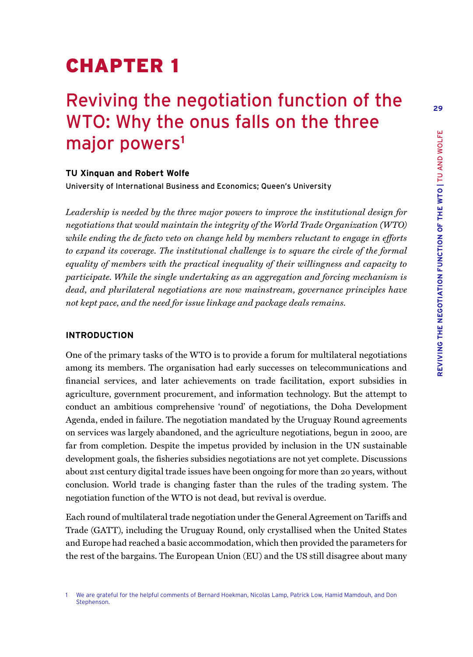**29**

# CHAPTER 1

## Reviving the negotiation function of the WTO: Why the onus falls on the three major powers**<sup>1</sup>**

## **TU Xinquan and Robert Wolfe**

University of International Business and Economics; Queen's University

*Leadership is needed by the three major powers to improve the institutional design for negotiations that would maintain the integrity of the World Trade Organization (WTO) while ending the de facto veto on change held by members reluctant to engage in efforts to expand its coverage. The institutional challenge is to square the circle of the formal equality of members with the practical inequality of their willingness and capacity to participate. While the single undertaking as an aggregation and forcing mechanism is dead, and plurilateral negotiations are now mainstream, governance principles have not kept pace, and the need for issue linkage and package deals remains.*

## **INTRODUCTION**

One of the primary tasks of the WTO is to provide a forum for multilateral negotiations among its members. The organisation had early successes on telecommunications and financial services, and later achievements on trade facilitation, export subsidies in agriculture, government procurement, and information technology. But the attempt to conduct an ambitious comprehensive 'round' of negotiations, the Doha Development Agenda, ended in failure. The negotiation mandated by the Uruguay Round agreements on services was largely abandoned, and the agriculture negotiations, begun in 2000, are far from completion. Despite the impetus provided by inclusion in the UN sustainable development goals, the fisheries subsidies negotiations are not yet complete. Discussions about 21st century digital trade issues have been ongoing for more than 20 years, without conclusion. World trade is changing faster than the rules of the trading system. The negotiation function of the WTO is not dead, but revival is overdue.

Each round of multilateral trade negotiation under the General Agreement on Tariffs and Trade (GATT), including the Uruguay Round, only crystallised when the United States and Europe had reached a basic accommodation, which then provided the parameters for the rest of the bargains. The European Union (EU) and the US still disagree about many

<sup>1</sup> We are grateful for the helpful comments of Bernard Hoekman, Nicolas Lamp, Patrick Low, Hamid Mamdouh, and Don Stephenson.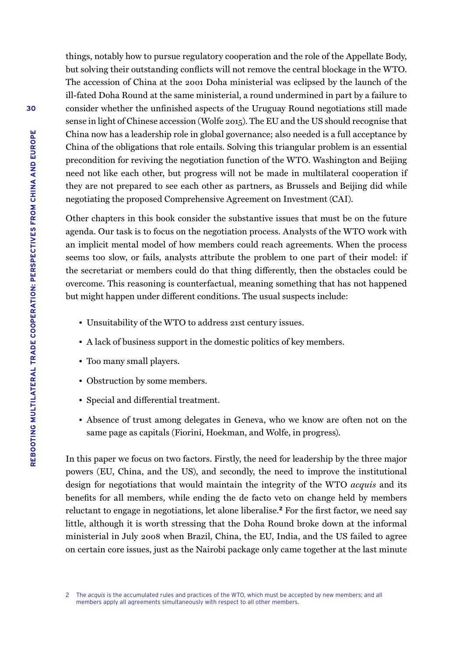things, notably how to pursue regulatory cooperation and the role of the Appellate Body, but solving their outstanding conflicts will not remove the central blockage in the WTO. The accession of China at the 2001 Doha ministerial was eclipsed by the launch of the ill-fated Doha Round at the same ministerial, a round undermined in part by a failure to consider whether the unfinished aspects of the Uruguay Round negotiations still made sense in light of Chinese accession (Wolfe 2015). The EU and the US should recognise that China now has a leadership role in global governance; also needed is a full acceptance by China of the obligations that role entails. Solving this triangular problem is an essential precondition for reviving the negotiation function of the WTO. Washington and Beijing need not like each other, but progress will not be made in multilateral cooperation if they are not prepared to see each other as partners, as Brussels and Beijing did while negotiating the proposed Comprehensive Agreement on Investment (CAI).

Other chapters in this book consider the substantive issues that must be on the future agenda. Our task is to focus on the negotiation process. Analysts of the WTO work with an implicit mental model of how members could reach agreements. When the process seems too slow, or fails, analysts attribute the problem to one part of their model: if the secretariat or members could do that thing differently, then the obstacles could be overcome. This reasoning is counterfactual, meaning something that has not happened but might happen under different conditions. The usual suspects include:

- Unsuitability of the WTO to address 21st century issues.
- A lack of business support in the domestic politics of key members.
- Too many small players.
- Obstruction by some members.
- Special and differential treatment.
- Absence of trust among delegates in Geneva, who we know are often not on the same page as capitals (Fiorini, Hoekman, and Wolfe, in progress).

In this paper we focus on two factors. Firstly, the need for leadership by the three major powers (EU, China, and the US), and secondly, the need to improve the institutional design for negotiations that would maintain the integrity of the WTO *acquis* and its benefits for all members, while ending the de facto veto on change held by members reluctant to engage in negotiations, let alone liberalise.**<sup>2</sup>** For the first factor, we need say little, although it is worth stressing that the Doha Round broke down at the informal ministerial in July 2008 when Brazil, China, the EU, India, and the US failed to agree on certain core issues, just as the Nairobi package only came together at the last minute

<sup>2</sup> The *acquis* is the accumulated rules and practices of the WTO, which must be accepted by new members; and all members apply all agreements simultaneously with respect to all other members.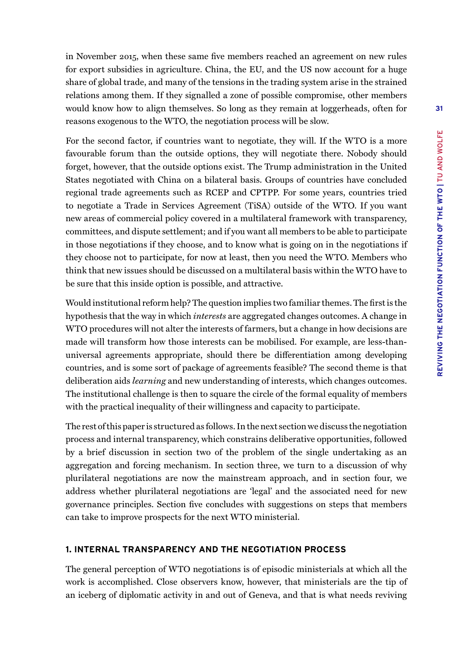in November 2015, when these same five members reached an agreement on new rules for export subsidies in agriculture. China, the EU, and the US now account for a huge share of global trade, and many of the tensions in the trading system arise in the strained relations among them. If they signalled a zone of possible compromise, other members would know how to align themselves. So long as they remain at loggerheads, often for reasons exogenous to the WTO, the negotiation process will be slow.

For the second factor, if countries want to negotiate, they will. If the WTO is a more favourable forum than the outside options, they will negotiate there. Nobody should forget, however, that the outside options exist. The Trump administration in the United States negotiated with China on a bilateral basis. Groups of countries have concluded regional trade agreements such as RCEP and CPTPP. For some years, countries tried to negotiate a Trade in Services Agreement (TiSA) outside of the WTO. If you want new areas of commercial policy covered in a multilateral framework with transparency, committees, and dispute settlement; and if you want all members to be able to participate in those negotiations if they choose, and to know what is going on in the negotiations if they choose not to participate, for now at least, then you need the WTO. Members who think that new issues should be discussed on a multilateral basis within the WTO have to be sure that this inside option is possible, and attractive.

Would institutional reform help? The question implies two familiar themes. The first is the hypothesis that the way in which *interests* are aggregated changes outcomes. A change in WTO procedures will not alter the interests of farmers, but a change in how decisions are made will transform how those interests can be mobilised. For example, are less-thanuniversal agreements appropriate, should there be differentiation among developing countries, and is some sort of package of agreements feasible? The second theme is that deliberation aids *learning* and new understanding of interests, which changes outcomes. The institutional challenge is then to square the circle of the formal equality of members with the practical inequality of their willingness and capacity to participate.

The rest of this paper is structured as follows. In the next section we discuss the negotiation process and internal transparency, which constrains deliberative opportunities, followed by a brief discussion in section two of the problem of the single undertaking as an aggregation and forcing mechanism. In section three, we turn to a discussion of why plurilateral negotiations are now the mainstream approach, and in section four, we address whether plurilateral negotiations are 'legal' and the associated need for new governance principles. Section five concludes with suggestions on steps that members can take to improve prospects for the next WTO ministerial.

## **1. INTERNAL TRANSPARENCY AND THE NEGOTIATION PROCESS**

The general perception of WTO negotiations is of episodic ministerials at which all the work is accomplished. Close observers know, however, that ministerials are the tip of an iceberg of diplomatic activity in and out of Geneva, and that is what needs reviving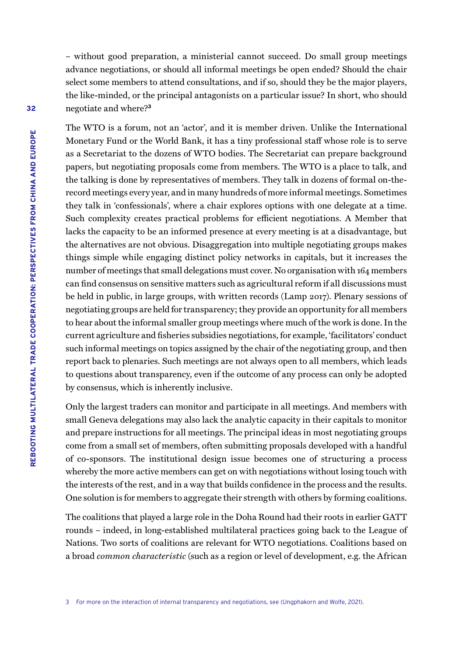– without good preparation, a ministerial cannot succeed. Do small group meetings advance negotiations, or should all informal meetings be open ended? Should the chair select some members to attend consultations, and if so, should they be the major players, the like-minded, or the principal antagonists on a particular issue? In short, who should negotiate and where?**<sup>3</sup>**

The WTO is a forum, not an 'actor', and it is member driven. Unlike the International Monetary Fund or the World Bank, it has a tiny professional staff whose role is to serve as a Secretariat to the dozens of WTO bodies. The Secretariat can prepare background papers, but negotiating proposals come from members. The WTO is a place to talk, and the talking is done by representatives of members. They talk in dozens of formal on-therecord meetings every year, and in many hundreds of more informal meetings. Sometimes they talk in 'confessionals', where a chair explores options with one delegate at a time. Such complexity creates practical problems for efficient negotiations. A Member that lacks the capacity to be an informed presence at every meeting is at a disadvantage, but the alternatives are not obvious. Disaggregation into multiple negotiating groups makes things simple while engaging distinct policy networks in capitals, but it increases the number of meetings that small delegations must cover. No organisation with 164 members can find consensus on sensitive matters such as agricultural reform if all discussions must be held in public, in large groups, with written records (Lamp 2017). Plenary sessions of negotiating groups are held for transparency; they provide an opportunity for all members to hear about the informal smaller group meetings where much of the work is done. In the current agriculture and fisheries subsidies negotiations, for example, 'facilitators' conduct such informal meetings on topics assigned by the chair of the negotiating group, and then report back to plenaries. Such meetings are not always open to all members, which leads to questions about transparency, even if the outcome of any process can only be adopted by consensus, which is inherently inclusive.

Only the largest traders can monitor and participate in all meetings. And members with small Geneva delegations may also lack the analytic capacity in their capitals to monitor and prepare instructions for all meetings. The principal ideas in most negotiating groups come from a small set of members, often submitting proposals developed with a handful of co-sponsors. The institutional design issue becomes one of structuring a process whereby the more active members can get on with negotiations without losing touch with the interests of the rest, and in a way that builds confidence in the process and the results. One solution is for members to aggregate their strength with others by forming coalitions.

The coalitions that played a large role in the Doha Round had their roots in earlier GATT rounds – indeed, in long-established multilateral practices going back to the League of Nations. Two sorts of coalitions are relevant for WTO negotiations. Coalitions based on a broad *common characteristic* (such as a region or level of development, e.g. the African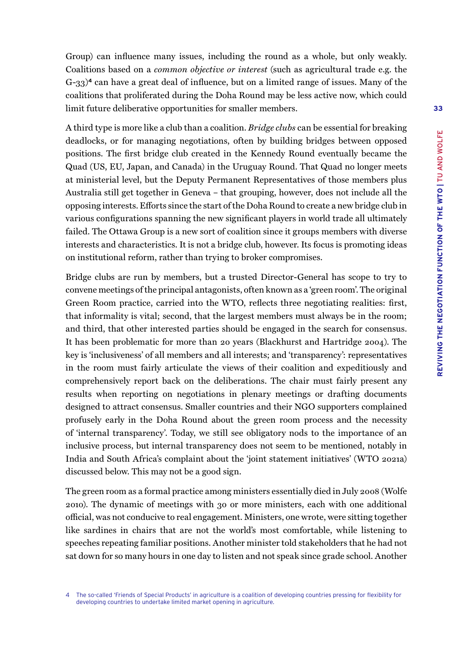Group) can influence many issues, including the round as a whole, but only weakly. Coalitions based on a *common objective or interest* (such as agricultural trade e.g. the G-33)**<sup>4</sup>** can have a great deal of influence, but on a limited range of issues. Many of the coalitions that proliferated during the Doha Round may be less active now, which could limit future deliberative opportunities for smaller members.

A third type is more like a club than a coalition. *Bridge clubs* can be essential for breaking deadlocks, or for managing negotiations, often by building bridges between opposed positions. The first bridge club created in the Kennedy Round eventually became the Quad (US, EU, Japan, and Canada) in the Uruguay Round. That Quad no longer meets at ministerial level, but the Deputy Permanent Representatives of those members plus Australia still get together in Geneva – that grouping, however, does not include all the opposing interests. Efforts since the start of the Doha Round to create a new bridge club in various configurations spanning the new significant players in world trade all ultimately failed. The Ottawa Group is a new sort of coalition since it groups members with diverse interests and characteristics. It is not a bridge club, however. Its focus is promoting ideas on institutional reform, rather than trying to broker compromises.

Bridge clubs are run by members, but a trusted Director-General has scope to try to convene meetings of the principal antagonists, often known as a 'green room'. The original Green Room practice, carried into the WTO, reflects three negotiating realities: first, that informality is vital; second, that the largest members must always be in the room; and third, that other interested parties should be engaged in the search for consensus. It has been problematic for more than 20 years (Blackhurst and Hartridge 2004). The key is 'inclusiveness' of all members and all interests; and 'transparency': representatives in the room must fairly articulate the views of their coalition and expeditiously and comprehensively report back on the deliberations. The chair must fairly present any results when reporting on negotiations in plenary meetings or drafting documents designed to attract consensus. Smaller countries and their NGO supporters complained profusely early in the Doha Round about the green room process and the necessity of 'internal transparency'. Today, we still see obligatory nods to the importance of an inclusive process, but internal transparency does not seem to be mentioned, notably in India and South Africa's complaint about the 'joint statement initiatives' (WTO 2021a) discussed below. This may not be a good sign.

The green room as a formal practice among ministers essentially died in July 2008 (Wolfe 2010). The dynamic of meetings with 30 or more ministers, each with one additional official, was not conducive to real engagement. Ministers, one wrote, were sitting together like sardines in chairs that are not the world's most comfortable, while listening to speeches repeating familiar positions. Another minister told stakeholders that he had not sat down for so many hours in one day to listen and not speak since grade school. Another

<sup>4</sup> The so-called 'Friends of Special Products' in agriculture is a coalition of developing countries pressing for flexibility for developing countries to undertake limited market opening in agriculture.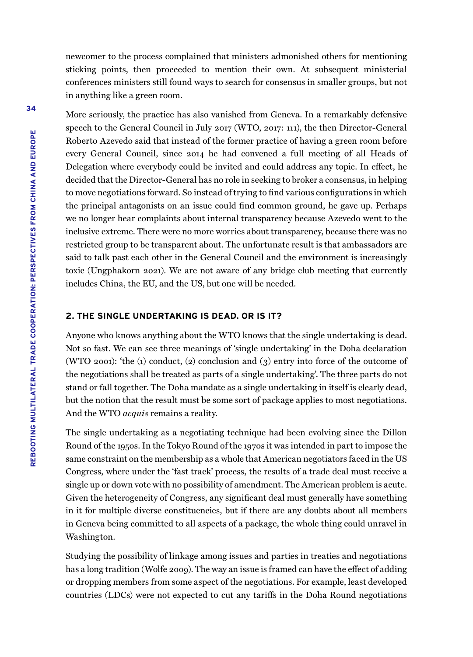newcomer to the process complained that ministers admonished others for mentioning sticking points, then proceeded to mention their own. At subsequent ministerial conferences ministers still found ways to search for consensus in smaller groups, but not in anything like a green room.

More seriously, the practice has also vanished from Geneva. In a remarkably defensive speech to the General Council in July 2017 (WTO, 2017: 111), the then Director-General Roberto Azevedo said that instead of the former practice of having a green room before every General Council, since 2014 he had convened a full meeting of all Heads of Delegation where everybody could be invited and could address any topic. In effect, he decided that the Director-General has no role in seeking to broker a consensus, in helping to move negotiations forward. So instead of trying to find various configurations in which the principal antagonists on an issue could find common ground, he gave up. Perhaps we no longer hear complaints about internal transparency because Azevedo went to the inclusive extreme. There were no more worries about transparency, because there was no restricted group to be transparent about. The unfortunate result is that ambassadors are said to talk past each other in the General Council and the environment is increasingly toxic (Ungphakorn 2021). We are not aware of any bridge club meeting that currently includes China, the EU, and the US, but one will be needed.

## **2. THE SINGLE UNDERTAKING IS DEAD. OR IS IT?**

Anyone who knows anything about the WTO knows that the single undertaking is dead. Not so fast. We can see three meanings of 'single undertaking' in the Doha declaration (WTO 2001): 'the (1) conduct, (2) conclusion and (3) entry into force of the outcome of the negotiations shall be treated as parts of a single undertaking'. The three parts do not stand or fall together. The Doha mandate as a single undertaking in itself is clearly dead, but the notion that the result must be some sort of package applies to most negotiations. And the WTO *acquis* remains a reality.

The single undertaking as a negotiating technique had been evolving since the Dillon Round of the 1950s. In the Tokyo Round of the 1970s it was intended in part to impose the same constraint on the membership as a whole that American negotiators faced in the US Congress, where under the 'fast track' process, the results of a trade deal must receive a single up or down vote with no possibility of amendment. The American problem is acute. Given the heterogeneity of Congress, any significant deal must generally have something in it for multiple diverse constituencies, but if there are any doubts about all members in Geneva being committed to all aspects of a package, the whole thing could unravel in Washington.

Studying the possibility of linkage among issues and parties in treaties and negotiations has a long tradition (Wolfe 2009). The way an issue is framed can have the effect of adding or dropping members from some aspect of the negotiations. For example, least developed countries (LDCs) were not expected to cut any tariffs in the Doha Round negotiations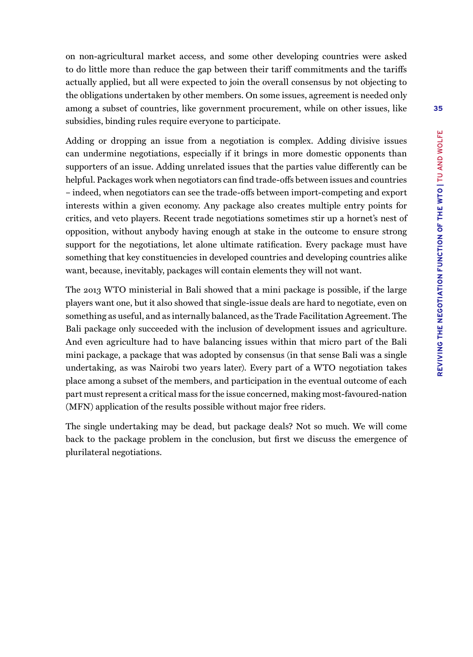on non-agricultural market access, and some other developing countries were asked to do little more than reduce the gap between their tariff commitments and the tariffs actually applied, but all were expected to join the overall consensus by not objecting to the obligations undertaken by other members. On some issues, agreement is needed only among a subset of countries, like government procurement, while on other issues, like subsidies, binding rules require everyone to participate.

Adding or dropping an issue from a negotiation is complex. Adding divisive issues can undermine negotiations, especially if it brings in more domestic opponents than supporters of an issue. Adding unrelated issues that the parties value differently can be helpful. Packages work when negotiators can find trade-offs between issues and countries – indeed, when negotiators can see the trade-offs between import-competing and export interests within a given economy. Any package also creates multiple entry points for critics, and veto players. Recent trade negotiations sometimes stir up a hornet's nest of opposition, without anybody having enough at stake in the outcome to ensure strong support for the negotiations, let alone ultimate ratification. Every package must have something that key constituencies in developed countries and developing countries alike want, because, inevitably, packages will contain elements they will not want.

The 2013 WTO ministerial in Bali showed that a mini package is possible, if the large players want one, but it also showed that single-issue deals are hard to negotiate, even on something as useful, and as internally balanced, as the Trade Facilitation Agreement. The Bali package only succeeded with the inclusion of development issues and agriculture. And even agriculture had to have balancing issues within that micro part of the Bali mini package, a package that was adopted by consensus (in that sense Bali was a single undertaking, as was Nairobi two years later). Every part of a WTO negotiation takes place among a subset of the members, and participation in the eventual outcome of each part must represent a critical mass for the issue concerned, making most-favoured-nation (MFN) application of the results possible without major free riders.

The single undertaking may be dead, but package deals? Not so much. We will come back to the package problem in the conclusion, but first we discuss the emergence of plurilateral negotiations.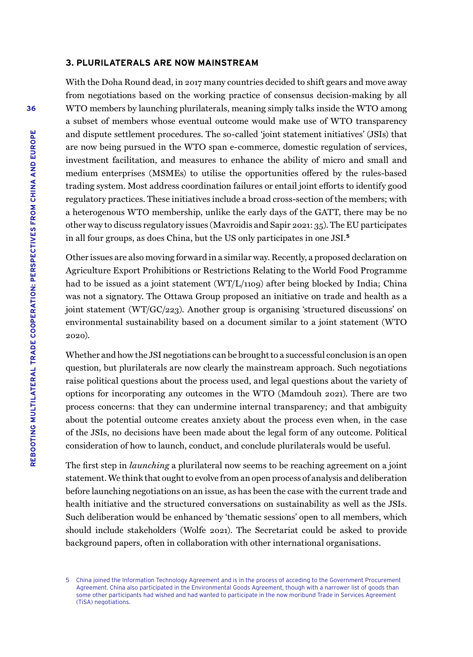#### **3. PLURILATERALS ARE NOW MAINSTREAM**

With the Doha Round dead, in 2017 many countries decided to shift gears and move away from negotiations based on the working practice of consensus decision-making by all WTO members by launching plurilaterals, meaning simply talks inside the WTO among a subset of members whose eventual outcome would make use of WTO transparency and dispute settlement procedures. The so-called 'joint statement initiatives' (JSIs) that are now being pursued in the WTO span e-commerce, domestic regulation of services, investment facilitation, and measures to enhance the ability of micro and small and medium enterprises (MSMEs) to utilise the opportunities offered by the rules-based trading system. Most address coordination failures or entail joint efforts to identify good regulatory practices. These initiatives include a broad cross-section of the members; with a heterogenous WTO membership, unlike the early days of the GATT, there may be no other way to discuss regulatory issues (Mavroidis and Sapir 2021: 35). The EU participates in all four groups, as does China, but the US only participates in one JSI.**<sup>5</sup>**

Other issues are also moving forward in a similar way. Recently, a proposed declaration on Agriculture Export Prohibitions or Restrictions Relating to the World Food Programme had to be issued as a joint statement (WT/L/1109) after being blocked by India; China was not a signatory. The Ottawa Group proposed an initiative on trade and health as a joint statement (WT/GC/223). Another group is organising 'structured discussions' on environmental sustainability based on a document similar to a joint statement (WTO 2020).

Whether and how the JSI negotiations can be brought to a successful conclusion is an open question, but plurilaterals are now clearly the mainstream approach. Such negotiations raise political questions about the process used, and legal questions about the variety of options for incorporating any outcomes in the WTO (Mamdouh 2021). There are two process concerns: that they can undermine internal transparency; and that ambiguity about the potential outcome creates anxiety about the process even when, in the case of the JSIs, no decisions have been made about the legal form of any outcome. Political consideration of how to launch, conduct, and conclude plurilaterals would be useful.

The first step in *launching* a plurilateral now seems to be reaching agreement on a joint statement. We think that ought to evolve from an open process of analysis and deliberation before launching negotiations on an issue, as has been the case with the current trade and health initiative and the structured conversations on sustainability as well as the JSIs. Such deliberation would be enhanced by 'thematic sessions' open to all members, which should include stakeholders (Wolfe 2021). The Secretariat could be asked to provide background papers, often in collaboration with other international organisations.

<sup>5</sup> China joined the Information Technology Agreement and is in the process of acceding to the Government Procurement Agreement. China also participated in the Environmental Goods Agreement, though with a narrower list of goods than some other participants had wished and had wanted to participate in the now moribund Trade in Services Agreement (TiSA) negotiations.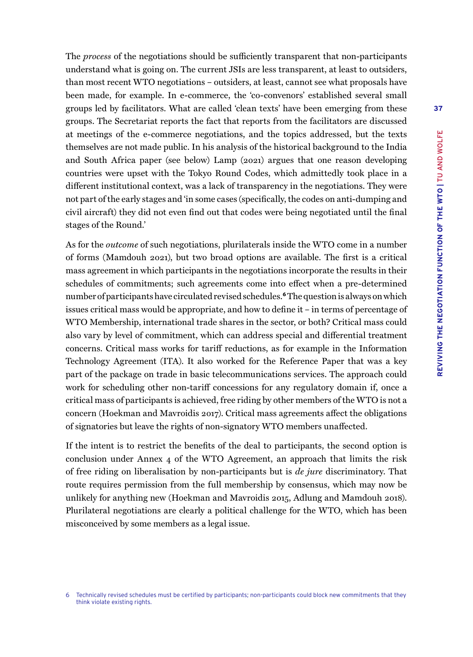The *process* of the negotiations should be sufficiently transparent that non-participants understand what is going on. The current JSIs are less transparent, at least to outsiders, than most recent WTO negotiations – outsiders, at least, cannot see what proposals have been made, for example. In e-commerce, the 'co-convenors' established several small groups led by facilitators. What are called 'clean texts' have been emerging from these groups. The Secretariat reports the fact that reports from the facilitators are discussed at meetings of the e-commerce negotiations, and the topics addressed, but the texts themselves are not made public. In his analysis of the historical background to the India and South Africa paper (see below) Lamp (2021) argues that one reason developing countries were upset with the Tokyo Round Codes, which admittedly took place in a different institutional context, was a lack of transparency in the negotiations. They were not part of the early stages and 'in some cases (specifically, the codes on anti-dumping and civil aircraft) they did not even find out that codes were being negotiated until the final stages of the Round.'

As for the *outcome* of such negotiations, plurilaterals inside the WTO come in a number of forms (Mamdouh 2021), but two broad options are available. The first is a critical mass agreement in which participants in the negotiations incorporate the results in their schedules of commitments; such agreements come into effect when a pre-determined number of participants have circulated revised schedules.**<sup>6</sup>** The question is always on which issues critical mass would be appropriate, and how to define it – in terms of percentage of WTO Membership, international trade shares in the sector, or both? Critical mass could also vary by level of commitment, which can address special and differential treatment concerns. Critical mass works for tariff reductions, as for example in the Information Technology Agreement (ITA). It also worked for the Reference Paper that was a key part of the package on trade in basic telecommunications services. The approach could work for scheduling other non-tariff concessions for any regulatory domain if, once a critical mass of participants is achieved, free riding by other members of the WTO is not a concern (Hoekman and Mavroidis 2017). Critical mass agreements affect the obligations of signatories but leave the rights of non-signatory WTO members unaffected.

If the intent is to restrict the benefits of the deal to participants, the second option is conclusion under Annex 4 of the WTO Agreement, an approach that limits the risk of free riding on liberalisation by non-participants but is *de jure* discriminatory. That route requires permission from the full membership by consensus, which may now be unlikely for anything new (Hoekman and Mavroidis 2015, Adlung and Mamdouh 2018). Plurilateral negotiations are clearly a political challenge for the WTO, which has been misconceived by some members as a legal issue.

<sup>6</sup> Technically revised schedules must be certified by participants; non-participants could block new commitments that they think violate existing rights.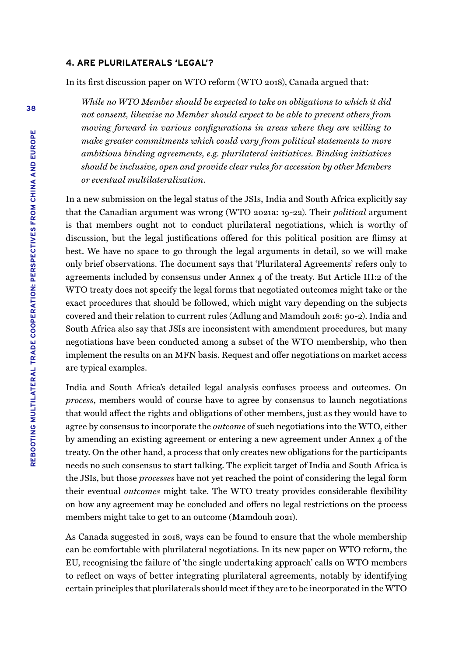#### **4. ARE PLURILATERALS 'LEGAL'?**

In its first discussion paper on WTO reform (WTO 2018), Canada argued that:

*While no WTO Member should be expected to take on obligations to which it did not consent, likewise no Member should expect to be able to prevent others from moving forward in various configurations in areas where they are willing to make greater commitments which could vary from political statements to more ambitious binding agreements, e.g. plurilateral initiatives. Binding initiatives should be inclusive, open and provide clear rules for accession by other Members or eventual multilateralization.*

In a new submission on the legal status of the JSIs, India and South Africa explicitly say that the Canadian argument was wrong (WTO 2021a: 19-22). Their *political* argument is that members ought not to conduct plurilateral negotiations, which is worthy of discussion, but the legal justifications offered for this political position are flimsy at best. We have no space to go through the legal arguments in detail, so we will make only brief observations. The document says that 'Plurilateral Agreements' refers only to agreements included by consensus under Annex 4 of the treaty. But Article III:2 of the WTO treaty does not specify the legal forms that negotiated outcomes might take or the exact procedures that should be followed, which might vary depending on the subjects covered and their relation to current rules (Adlung and Mamdouh 2018: 90-2). India and South Africa also say that JSIs are inconsistent with amendment procedures, but many negotiations have been conducted among a subset of the WTO membership, who then implement the results on an MFN basis. Request and offer negotiations on market access are typical examples.

India and South Africa's detailed legal analysis confuses process and outcomes. On *process*, members would of course have to agree by consensus to launch negotiations that would affect the rights and obligations of other members, just as they would have to agree by consensus to incorporate the *outcome* of such negotiations into the WTO, either by amending an existing agreement or entering a new agreement under Annex 4 of the treaty. On the other hand, a process that only creates new obligations for the participants needs no such consensus to start talking. The explicit target of India and South Africa is the JSIs, but those *processes* have not yet reached the point of considering the legal form their eventual *outcomes* might take. The WTO treaty provides considerable flexibility on how any agreement may be concluded and offers no legal restrictions on the process members might take to get to an outcome (Mamdouh 2021).

As Canada suggested in 2018, ways can be found to ensure that the whole membership can be comfortable with plurilateral negotiations. In its new paper on WTO reform, the EU, recognising the failure of 'the single undertaking approach' calls on WTO members to reflect on ways of better integrating plurilateral agreements, notably by identifying certain principles that plurilaterals should meet if they are to be incorporated in the WTO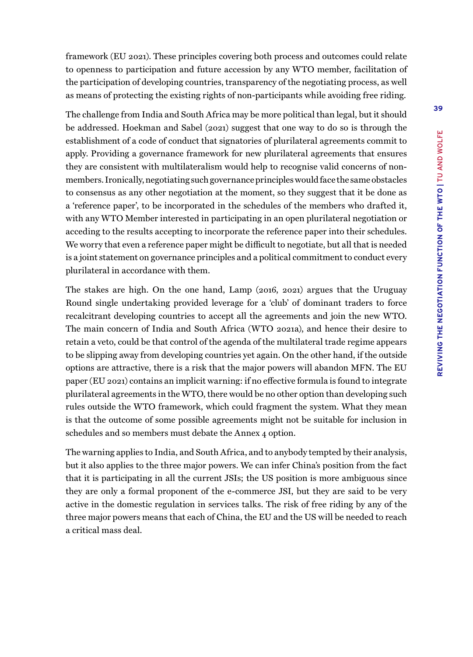framework (EU 2021). These principles covering both process and outcomes could relate to openness to participation and future accession by any WTO member, facilitation of the participation of developing countries, transparency of the negotiating process, as well as means of protecting the existing rights of non-participants while avoiding free riding.

The challenge from India and South Africa may be more political than legal, but it should be addressed. Hoekman and Sabel (2021) suggest that one way to do so is through the establishment of a code of conduct that signatories of plurilateral agreements commit to apply. Providing a governance framework for new plurilateral agreements that ensures they are consistent with multilateralism would help to recognise valid concerns of nonmembers. Ironically, negotiating such governance principles would face the same obstacles to consensus as any other negotiation at the moment, so they suggest that it be done as a 'reference paper', to be incorporated in the schedules of the members who drafted it, with any WTO Member interested in participating in an open plurilateral negotiation or acceding to the results accepting to incorporate the reference paper into their schedules. We worry that even a reference paper might be difficult to negotiate, but all that is needed is a joint statement on governance principles and a political commitment to conduct every plurilateral in accordance with them.

The stakes are high. On the one hand, Lamp (2016, 2021) argues that the Uruguay Round single undertaking provided leverage for a 'club' of dominant traders to force recalcitrant developing countries to accept all the agreements and join the new WTO. The main concern of India and South Africa (WTO 2021a), and hence their desire to retain a veto, could be that control of the agenda of the multilateral trade regime appears to be slipping away from developing countries yet again. On the other hand, if the outside options are attractive, there is a risk that the major powers will abandon MFN. The EU paper (EU 2021) contains an implicit warning: if no effective formula is found to integrate plurilateral agreements in the WTO, there would be no other option than developing such rules outside the WTO framework, which could fragment the system. What they mean is that the outcome of some possible agreements might not be suitable for inclusion in schedules and so members must debate the Annex 4 option.

The warning applies to India, and South Africa, and to anybody tempted by their analysis, but it also applies to the three major powers. We can infer China's position from the fact that it is participating in all the current JSIs; the US position is more ambiguous since they are only a formal proponent of the e-commerce JSI, but they are said to be very active in the domestic regulation in services talks. The risk of free riding by any of the three major powers means that each of China, the EU and the US will be needed to reach a critical mass deal.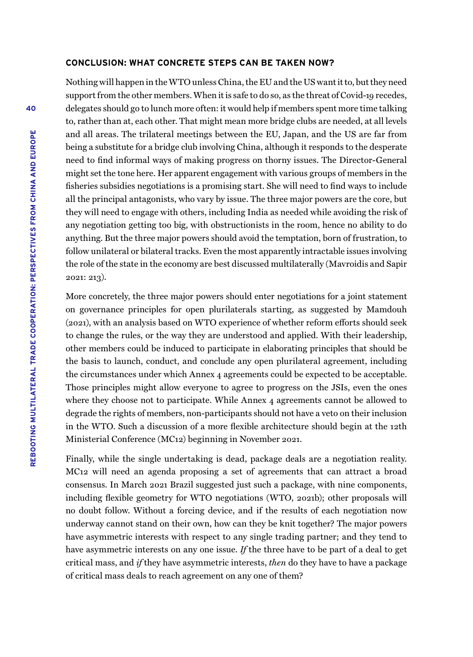#### **CONCLUSION: WHAT CONCRETE STEPS CAN BE TAKEN NOW?**

Nothing will happen in the WTO unless China, the EU and the US want it to, but they need support from the other members. When it is safe to do so, as the threat of Covid-19 recedes, delegates should go to lunch more often: it would help if members spent more time talking to, rather than at, each other. That might mean more bridge clubs are needed, at all levels and all areas. The trilateral meetings between the EU, Japan, and the US are far from being a substitute for a bridge club involving China, although it responds to the desperate need to find informal ways of making progress on thorny issues. The Director-General might set the tone here. Her apparent engagement with various groups of members in the fisheries subsidies negotiations is a promising start. She will need to find ways to include all the principal antagonists, who vary by issue. The three major powers are the core, but they will need to engage with others, including India as needed while avoiding the risk of any negotiation getting too big, with obstructionists in the room, hence no ability to do anything. But the three major powers should avoid the temptation, born of frustration, to follow unilateral or bilateral tracks. Even the most apparently intractable issues involving the role of the state in the economy are best discussed multilaterally (Mavroidis and Sapir 2021: 213).

More concretely, the three major powers should enter negotiations for a joint statement on governance principles for open plurilaterals starting, as suggested by Mamdouh (2021), with an analysis based on WTO experience of whether reform efforts should seek to change the rules, or the way they are understood and applied. With their leadership, other members could be induced to participate in elaborating principles that should be the basis to launch, conduct, and conclude any open plurilateral agreement, including the circumstances under which Annex 4 agreements could be expected to be acceptable. Those principles might allow everyone to agree to progress on the JSIs, even the ones where they choose not to participate. While Annex 4 agreements cannot be allowed to degrade the rights of members, non-participants should not have a veto on their inclusion in the WTO. Such a discussion of a more flexible architecture should begin at the 12th Ministerial Conference (MC12) beginning in November 2021.

Finally, while the single undertaking is dead, package deals are a negotiation reality. MC12 will need an agenda proposing a set of agreements that can attract a broad consensus. In March 2021 Brazil suggested just such a package, with nine components, including flexible geometry for WTO negotiations (WTO, 2021b); other proposals will no doubt follow. Without a forcing device, and if the results of each negotiation now underway cannot stand on their own, how can they be knit together? The major powers have asymmetric interests with respect to any single trading partner; and they tend to have asymmetric interests on any one issue. *If* the three have to be part of a deal to get critical mass, and *if* they have asymmetric interests, *then* do they have to have a package of critical mass deals to reach agreement on any one of them?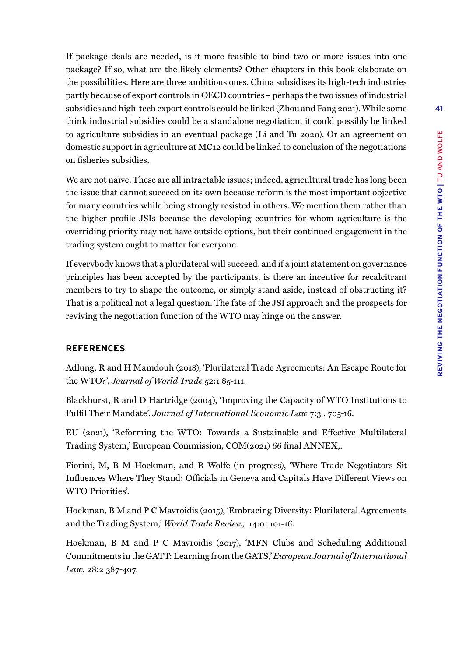If package deals are needed, is it more feasible to bind two or more issues into one package? If so, what are the likely elements? Other chapters in this book elaborate on the possibilities. Here are three ambitious ones. China subsidises its high-tech industries partly because of export controls in OECD countries – perhaps the two issues of industrial subsidies and high-tech export controls could be linked (Zhou and Fang 2021). While some think industrial subsidies could be a standalone negotiation, it could possibly be linked to agriculture subsidies in an eventual package (Li and Tu 2020). Or an agreement on domestic support in agriculture at MC12 could be linked to conclusion of the negotiations on fisheries subsidies.

We are not naïve. These are all intractable issues; indeed, agricultural trade has long been the issue that cannot succeed on its own because reform is the most important objective for many countries while being strongly resisted in others. We mention them rather than the higher profile JSIs because the developing countries for whom agriculture is the overriding priority may not have outside options, but their continued engagement in the trading system ought to matter for everyone.

If everybody knows that a plurilateral will succeed, and if a joint statement on governance principles has been accepted by the participants, is there an incentive for recalcitrant members to try to shape the outcome, or simply stand aside, instead of obstructing it? That is a political not a legal question. The fate of the JSI approach and the prospects for reviving the negotiation function of the WTO may hinge on the answer.

## **REFERENCES**

Adlung, R and H Mamdouh (2018), 'Plurilateral Trade Agreements: An Escape Route for the WTO?', *Journal of World Trade* 52:1 85-111.

Blackhurst, R and D Hartridge (2004), 'Improving the Capacity of WTO Institutions to Fulfil Their Mandate', *Journal of International Economic Law* 7:3 , 705-16.

EU (2021), 'Reforming the WTO: Towards a Sustainable and Effective Multilateral Trading System,' European Commission, COM(2021) 66 final ANNEX,.

Fiorini, M, B M Hoekman, and R Wolfe (in progress), 'Where Trade Negotiators Sit Influences Where They Stand: Officials in Geneva and Capitals Have Different Views on WTO Priorities'.

Hoekman, B M and P C Mavroidis (2015), 'Embracing Diversity: Plurilateral Agreements and the Trading System,' *World Trade Review*, 14:01 101-16.

Hoekman, B M and P C Mavroidis (2017), 'MFN Clubs and Scheduling Additional Commitments in the GATT: Learning from the GATS,' *European Journal of International Law*, 28:2 387-407.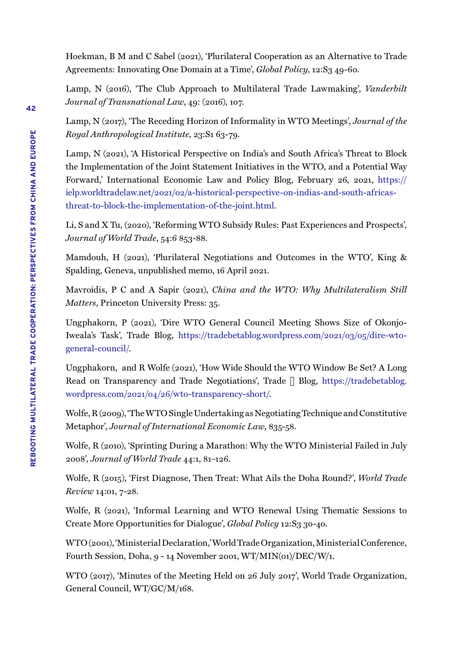Hoekman, B M and C Sabel (2021), 'Plurilateral Cooperation as an Alternative to Trade Agreements: Innovating One Domain at a Time', *Global Policy*, 12:S<sub>3</sub> 49-60.

Lamp, N (2016), 'The Club Approach to Multilateral Trade Lawmaking', *Vanderbilt Journal of Transnational Law*, 49: (2016), 107.

Lamp, N (2017), 'The Receding Horizon of Informality in WTO Meetings', *Journal of the Royal Anthropological Institute*, 23:S1 63-79.

Lamp, N (2021), 'A Historical Perspective on India's and South Africa's Threat to Block the Implementation of the Joint Statement Initiatives in the WTO, and a Potential Way Forward,' International Economic Law and Policy Blog, February 26, 2021, [https://](https://ielp.worldtradelaw.net/2021/02/a-historical-perspective-on-indias-and-south-africas-threat-t) [ielp.worldtradelaw.net/2021/02/a-historical-perspective-on-indias-and-south-africas](https://ielp.worldtradelaw.net/2021/02/a-historical-perspective-on-indias-and-south-africas-threat-t)[threat-to-block-the-implementation-of-the-joint.html](https://ielp.worldtradelaw.net/2021/02/a-historical-perspective-on-indias-and-south-africas-threat-t).

Li, S and X Tu, (2020), 'Reforming WTO Subsidy Rules: Past Experiences and Prospects', *Journal of World Trade*, 54:6 853-88.

Mamdouh, H (2021), 'Plurilateral Negotiations and Outcomes in the WTO', King & Spalding, Geneva, unpublished memo, 16 April 2021.

Mavroidis, P C and A Sapir (2021), *China and the WTO: Why Multilateralism Still Matters*, Princeton University Press: 35.

Ungphakorn, P (2021), 'Dire WTO General Council Meeting Shows Size of Okonjo-Iweala's Task', Trade Blog, [https://tradebetablog.wordpress.com/2021/03/05/dire-wto](https://tradebetablog.wordpress.com/2021/03/05/dire-wto-general-council/)[general-council/](https://tradebetablog.wordpress.com/2021/03/05/dire-wto-general-council/).

Ungphakorn, and R Wolfe (2021), 'How Wide Should the WTO Window Be Set? A Long Read on Transparency and Trade Negotiations', Trade Blog, [https://tradebetablog.](https://tradebetablog.wordpress.com/2021/04/26/wto-transparency-short/) [wordpress.com/2021/04/26/wto-transparency-short/](https://tradebetablog.wordpress.com/2021/04/26/wto-transparency-short/).

Wolfe, R (2009), 'The WTO Single Undertaking as Negotiating Technique and Constitutive Metaphor', *Journal of International Economic Law*, 835-58.

Wolfe, R (2010), 'Sprinting During a Marathon: Why the WTO Ministerial Failed in July 2008', *Journal of World Trade* 44:1, 81–126.

Wolfe, R (2015), 'First Diagnose, Then Treat: What Ails the Doha Round?', *World Trade Review* 14:01, 7-28.

Wolfe, R (2021), 'Informal Learning and WTO Renewal Using Thematic Sessions to Create More Opportunities for Dialogue', *Global Policy* 12:S3 30-40.

WTO (2001), 'Ministerial Declaration,' World Trade Organization, Ministerial Conference, Fourth Session, Doha, 9 - 14 November 2001, WT/MIN(01)/DEC/W/1.

WTO (2017), 'Minutes of the Meeting Held on 26 July 2017', World Trade Organization, General Council, WT/GC/M/168.